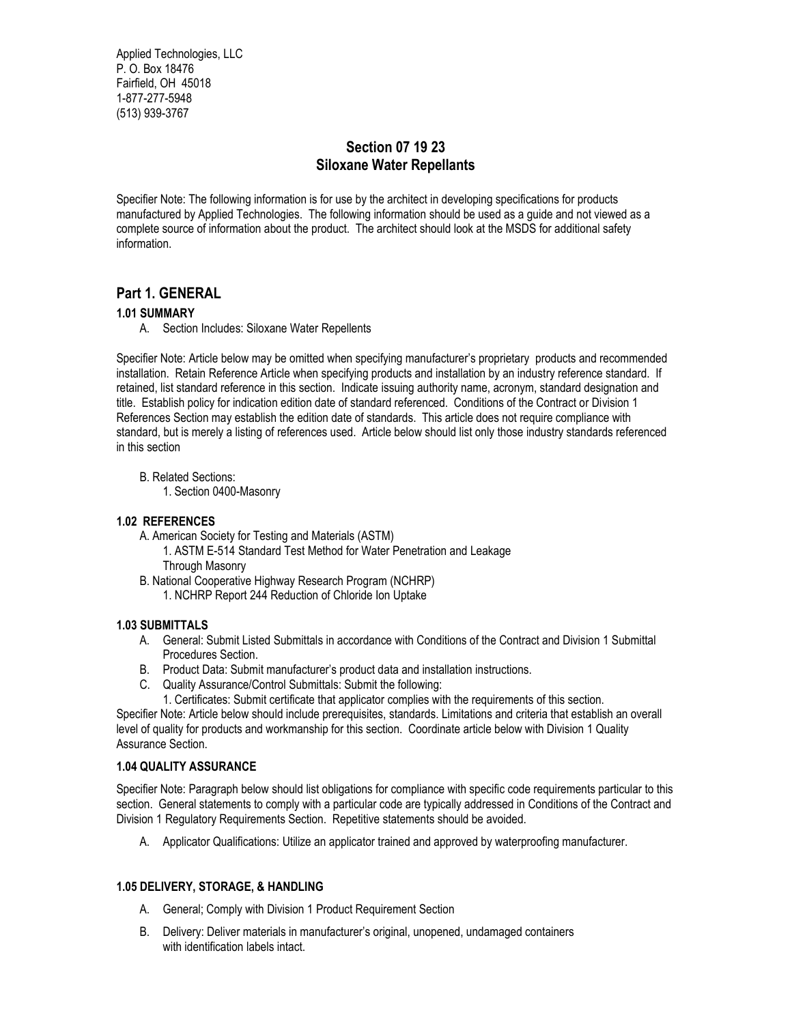Applied Technologies, LLC P. O. Box 18476 Fairfield, OH 45018 1-877-277-5948 (513) 939-3767

## **Section 07 19 23 Siloxane Water Repellants**

Specifier Note: The following information is for use by the architect in developing specifications for products manufactured by Applied Technologies. The following information should be used as a guide and not viewed as a complete source of information about the product. The architect should look at the MSDS for additional safety information.

## **Part 1. GENERAL**

## **1.01 SUMMARY**

A. Section Includes: Siloxane Water Repellents

Specifier Note: Article below may be omitted when specifying manufacturer's proprietary products and recommended installation. Retain Reference Article when specifying products and installation by an industry reference standard. If retained, list standard reference in this section. Indicate issuing authority name, acronym, standard designation and title. Establish policy for indication edition date of standard referenced. Conditions of the Contract or Division 1 References Section may establish the edition date of standards. This article does not require compliance with standard, but is merely a listing of references used. Article below should list only those industry standards referenced in this section

B. Related Sections:

1. Section 0400-Masonry

#### **1.02 REFERENCES**

- A. American Society for Testing and Materials (ASTM)
	- 1. ASTM E-514 Standard Test Method for Water Penetration and Leakage Through Masonry
- B. National Cooperative Highway Research Program (NCHRP)
	- 1. NCHRP Report 244 Reduction of Chloride Ion Uptake

#### **1.03 SUBMITTALS**

- A. General: Submit Listed Submittals in accordance with Conditions of the Contract and Division 1 Submittal Procedures Section.
- B. Product Data: Submit manufacturer's product data and installation instructions.
- C. Quality Assurance/Control Submittals: Submit the following:
- 1. Certificates: Submit certificate that applicator complies with the requirements of this section.

Specifier Note: Article below should include prerequisites, standards. Limitations and criteria that establish an overall level of quality for products and workmanship for this section. Coordinate article below with Division 1 Quality Assurance Section.

#### **1.04 QUALITY ASSURANCE**

Specifier Note: Paragraph below should list obligations for compliance with specific code requirements particular to this section. General statements to comply with a particular code are typically addressed in Conditions of the Contract and Division 1 Regulatory Requirements Section. Repetitive statements should be avoided.

A. Applicator Qualifications: Utilize an applicator trained and approved by waterproofing manufacturer.

#### **1.05 DELIVERY, STORAGE, & HANDLING**

- A. General; Comply with Division 1 Product Requirement Section
- B. Delivery: Deliver materials in manufacturer's original, unopened, undamaged containers with identification labels intact.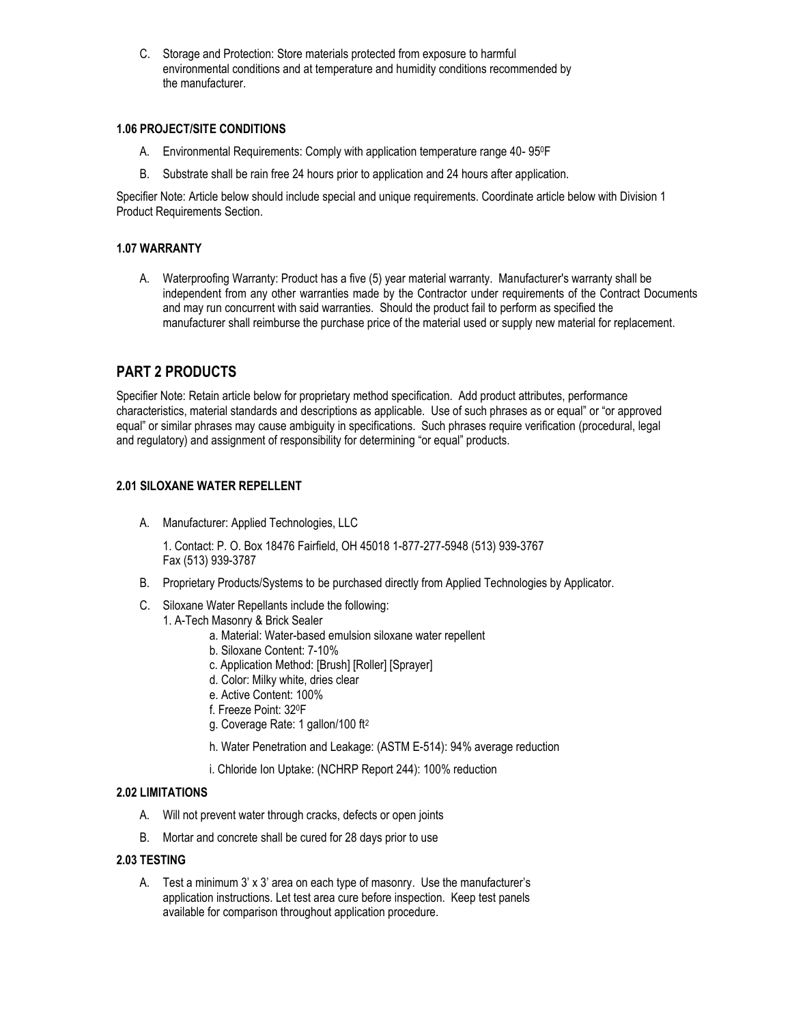C. Storage and Protection: Store materials protected from exposure to harmful environmental conditions and at temperature and humidity conditions recommended by the manufacturer.

#### **1.06 PROJECT/SITE CONDITIONS**

- A. Environmental Requirements: Comply with application temperature range 40- 950F
- B. Substrate shall be rain free 24 hours prior to application and 24 hours after application.

Specifier Note: Article below should include special and unique requirements. Coordinate article below with Division 1 Product Requirements Section.

## **1.07 WARRANTY**

A. Waterproofing Warranty: Product has a five (5) year material warranty. Manufacturer's warranty shall be independent from any other warranties made by the Contractor under requirements of the Contract Documents and may run concurrent with said warranties. Should the product fail to perform as specified the manufacturer shall reimburse the purchase price of the material used or supply new material for replacement.

## **PART 2 PRODUCTS**

Specifier Note: Retain article below for proprietary method specification. Add product attributes, performance characteristics, material standards and descriptions as applicable. Use of such phrases as or equal" or "or approved equal" or similar phrases may cause ambiguity in specifications. Such phrases require verification (procedural, legal and regulatory) and assignment of responsibility for determining "or equal" products.

## **2.01 SILOXANE WATER REPELLENT**

A. Manufacturer: Applied Technologies, LLC

1. Contact: P. O. Box 18476 Fairfield, OH 45018 1-877-277-5948 (513) 939-3767 Fax (513) 939-3787

- B. Proprietary Products/Systems to be purchased directly from Applied Technologies by Applicator.
- C. Siloxane Water Repellants include the following:
	- 1. A-Tech Masonry & Brick Sealer
		- a. Material: Water-based emulsion siloxane water repellent
		- b. Siloxane Content: 7-10%
		- c. Application Method: [Brush] [Roller] [Sprayer]
		- d. Color: Milky white, dries clear
		- e. Active Content: 100%
		- f. Freeze Point: 320F
		- g. Coverage Rate: 1 gallon/100 ft<sup>2</sup>
		- h. Water Penetration and Leakage: (ASTM E-514): 94% average reduction
		- i. Chloride Ion Uptake: (NCHRP Report 244): 100% reduction

#### **2.02 LIMITATIONS**

- A. Will not prevent water through cracks, defects or open joints
- B. Mortar and concrete shall be cured for 28 days prior to use

## **2.03 TESTING**

A. Test a minimum 3' x 3' area on each type of masonry. Use the manufacturer's application instructions. Let test area cure before inspection. Keep test panels available for comparison throughout application procedure.